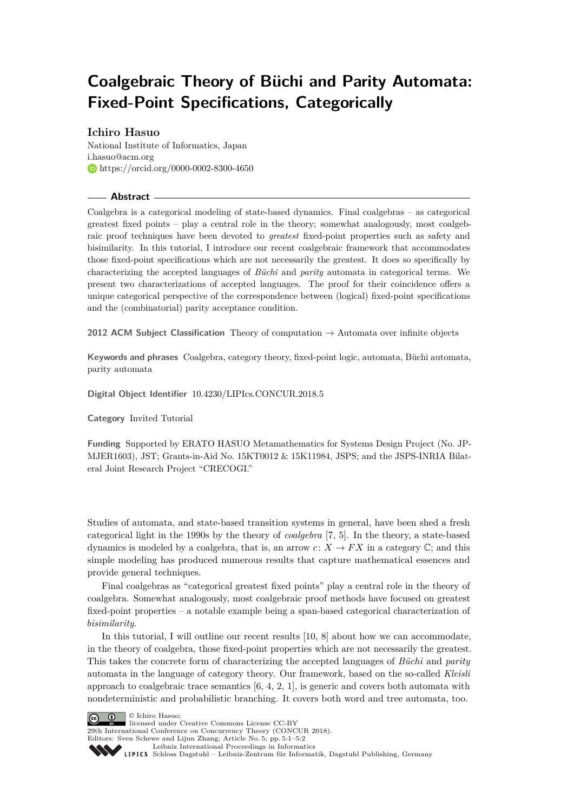# **Coalgebraic Theory of Büchi and Parity Automata: Fixed-Point Specifications, Categorically**

## **Ichiro Hasuo**

National Institute of Informatics, Japan [i.hasuo@acm.org](mailto:i.hasuo@acm.org) <https://orcid.org/0000-0002-8300-4650>

#### **Abstract**

Coalgebra is a categorical modeling of state-based dynamics. Final coalgebras – as categorical greatest fixed points – play a central role in the theory; somewhat analogously, most coalgebraic proof techniques have been devoted to *greatest* fixed-point properties such as safety and bisimilarity. In this tutorial, I introduce our recent coalgebraic framework that accommodates those fixed-point specifications which are not necessarily the greatest. It does so specifically by characterizing the accepted languages of *Büchi* and *parity* automata in categorical terms. We present two characterizations of accepted languages. The proof for their coincidence offers a unique categorical perspective of the correspondence between (logical) fixed-point specifications and the (combinatorial) parity acceptance condition.

**2012 ACM Subject Classification** Theory of computation → Automata over infinite objects

**Keywords and phrases** Coalgebra, category theory, fixed-point logic, automata, Büchi automata, parity automata

**Digital Object Identifier** [10.4230/LIPIcs.CONCUR.2018.5](http://dx.doi.org/10.4230/LIPIcs.CONCUR.2018.5)

**Category** Invited Tutorial

**Funding** Supported by ERATO HASUO Metamathematics for Systems Design Project (No. JP-MJER1603), JST; Grants-in-Aid No. 15KT0012 & 15K11984, JSPS; and the JSPS-INRIA Bilateral Joint Research Project "CRECOGI."

Studies of automata, and state-based transition systems in general, have been shed a fresh categorical light in the 1990s by the theory of *coalgebra* [\[7,](#page-1-0) [5\]](#page-1-1). In the theory, a state-based dynamics is modeled by a coalgebra, that is, an arrow  $c: X \to FX$  in a category  $\mathbb{C}$ ; and this simple modeling has produced numerous results that capture mathematical essences and provide general techniques.

Final coalgebras as "categorical greatest fixed points" play a central role in the theory of coalgebra. Somewhat analogously, most coalgebraic proof methods have focused on greatest fixed-point properties – a notable example being a span-based categorical characterization of *bisimilarity*.

In this tutorial, I will outline our recent results [\[10,](#page-1-2) [8\]](#page-1-3) about how we can accommodate, in the theory of coalgebra, those fixed-point properties which are not necessarily the greatest. This takes the concrete form of characterizing the accepted languages of *Büchi* and *parity* automata in the language of category theory. Our framework, based on the so-called *Kleisli* approach to coalgebraic trace semantics  $[6, 4, 2, 1]$  $[6, 4, 2, 1]$  $[6, 4, 2, 1]$  $[6, 4, 2, 1]$  $[6, 4, 2, 1]$  $[6, 4, 2, 1]$  $[6, 4, 2, 1]$ , is generic and covers both automata with nondeterministic and probabilistic branching. It covers both word and tree automata, too.



licensed under Creative Commons License CC-BY 29th International Conference on Concurrency Theory (CONCUR 2018).

Editors: Sven Schewe and Lijun Zhang; Article No. 5; pp. 5:1–5[:2](#page-1-8)

[Leibniz International Proceedings in Informatics](http://www.dagstuhl.de/lipics/)

[Schloss Dagstuhl – Leibniz-Zentrum für Informatik, Dagstuhl Publishing, Germany](http://www.dagstuhl.de)